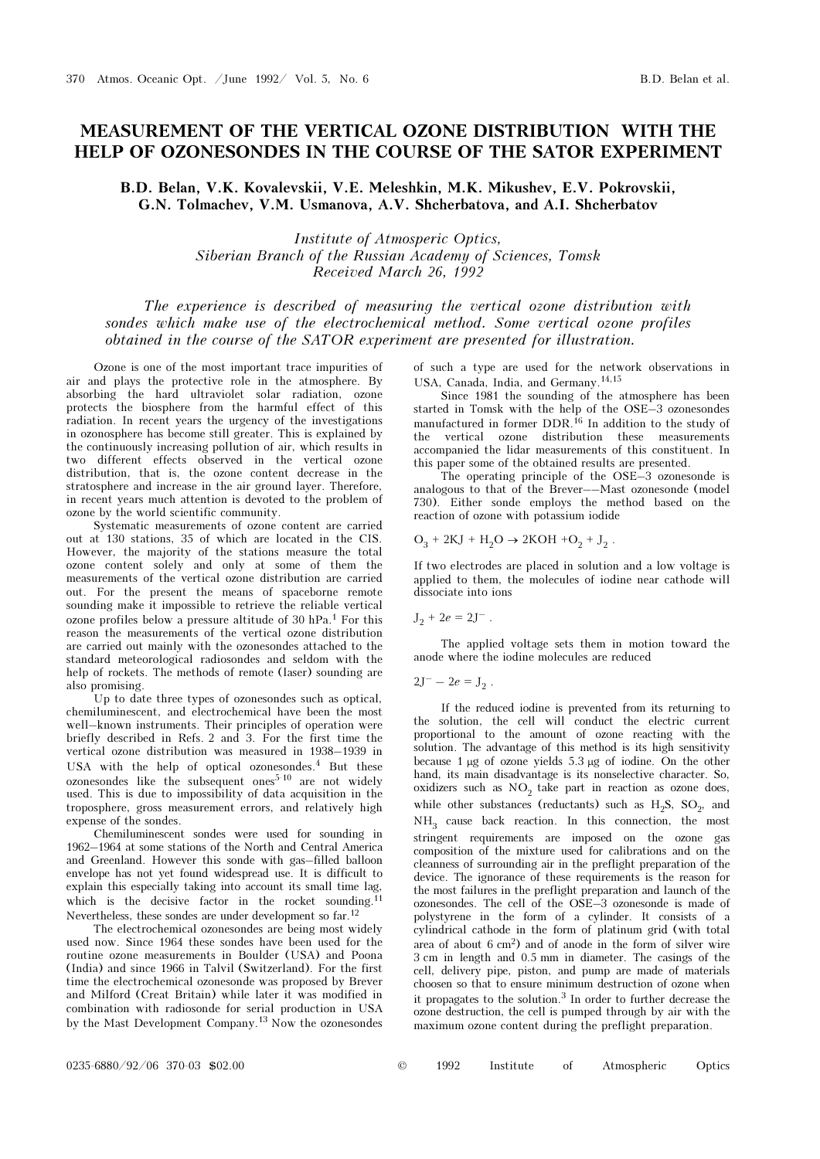## MEASUREMENT OF THE VERTICAL OZONE DISTRIBUTION WITH THE HELP OF OZONESONDES IN THE COURSE OF THE SATOR EXPERIMENT

B.D. Belan, V.K. Kovalevskii, V.E. Meleshkin, M.K. Mikushev, E.V. Pokrovskii, G.N. Tolmachev, V.M. Usmanova, A.V. Shcherbatova, and A.I. Shcherbatov

> Institute of Atmosperic Optics, Siberian Branch of the Russian Academy of Sciences, Tomsk Received March 26, 1992

The experience is described of measuring the vertical ozone distribution with sondes which make use of the electrochemical method. Some vertical ozone profiles obtained in the course of the SATOR experiment are presented for illustration.

Ozone is one of the most important trace impurities of air and plays the protective role in the atmosphere. By absorbing the hard ultraviolet solar radiation, ozone protects the biosphere from the harmful effect of this radiation. In recent years the urgency of the investigations in ozonosphere has become still greater. This is explained by the continuously increasing pollution of air, which results in two different effects observed in the vertical ozone distribution, that is, the ozone content decrease in the stratosphere and increase in the air ground layer. Therefore, in recent years much attention is devoted to the problem of ozone by the world scientific community.

Systematic measurements of ozone content are carried out at 130 stations, 35 of which are located in the CIS. However, the majority of the stations measure the total ozone content solely and only at some of them the measurements of the vertical ozone distribution are carried out. For the present the means of spaceborne remote sounding make it impossible to retrieve the reliable vertical ozone profiles below a pressure altitude of 30  $hPa<sup>1</sup>$  For this reason the measurements of the vertical ozone distribution are carried out mainly with the ozonesondes attached to the standard meteorological radiosondes and seldom with the help of rockets. The methods of remote (laser) sounding are also promising.

Up to date three types of ozonesondes such as optical, chemiluminescent, and electrochemical have been the most well–known instruments. Their principles of operation were briefly described in Refs. 2 and 3. For the first time the vertical ozone distribution was measured in 1938–1939 in USA with the help of optical ozonesondes.4 But these  $ozonesondes$  like the subsequent ones<sup>5-10</sup> are not widely used. This is due to impossibility of data acquisition in the troposphere, gross measurement errors, and relatively high expense of the sondes.

Chemiluminescent sondes were used for sounding in 1962–1964 at some stations of the North and Central America and Greenland. However this sonde with gas–filled balloon envelope has not yet found widespread use. It is difficult to explain this especially taking into account its small time lag, which is the decisive factor in the rocket sounding.<sup>11</sup> Nevertheless, these sondes are under development so far.<sup>12</sup>

The electrochemical ozonesondes are being most widely used now. Since 1964 these sondes have been used for the routine ozone measurements in Boulder (USA) and Poona (India) and since 1966 in Talvil (Switzerland). For the first time the electrochemical ozonesonde was proposed by Brever and Milford (Creat Britain) while later it was modified in combination with radiosonde for serial production in USA by the Mast Development Company.13 Now the ozonesondes of such a type are used for the network observations in USA, Canada, India, and Germany.14,15

Since 1981 the sounding of the atmosphere has been started in Tomsk with the help of the OSE–3 ozonesondes manufactured in former DDR.16 In addition to the study of the vertical ozone distribution these measurements accompanied the lidar measurements of this constituent. In this paper some of the obtained results are presented.

The operating principle of the OSE–3 ozonesonde is analogous to that of the Brever––Mast ozonesonde (model 730). Either sonde employs the method based on the reaction of ozone with potassium iodide

$$
O_3 + 2KJ + H_2O \rightarrow 2KOH + O_2 + J_2.
$$

If two electrodes are placed in solution and a low voltage is applied to them, the molecules of iodine near cathode will dissociate into ions

$$
\mathrm{J}_2 + 2e = 2\mathrm{J}^- \; .
$$

The applied voltage sets them in motion toward the anode where the iodine molecules are reduced

 $2J^{-} - 2e = J_2$ .

If the reduced iodine is prevented from its returning to the solution, the cell will conduct the electric current proportional to the amount of ozone reacting with the solution. The advantage of this method is its high sensitivity because 1 μg of ozone yields 5.3 μg of iodine. On the other hand, its main disadvantage is its nonselective character. So, oxidizers such as  $NO<sub>2</sub>$  take part in reaction as ozone does, while other substances (reductants) such as  $H_2S$ ,  $SO_2$ , and  $NH<sub>3</sub>$  cause back reaction. In this connection, the most stringent requirements are imposed on the ozone gas composition of the mixture used for calibrations and on the cleanness of surrounding air in the preflight preparation of the device. The ignorance of these requirements is the reason for the most failures in the preflight preparation and launch of the ozonesondes. The cell of the OSE–3 ozonesonde is made of polystyrene in the form of a cylinder. It consists of a cylindrical cathode in the form of platinum grid (with total area of about  $6 \text{ cm}^2$ ) and of anode in the form of silver wire 3 cm in length and 0.5 mm in diameter. The casings of the cell, delivery pipe, piston, and pump are made of materials choosen so that to ensure minimum destruction of ozone when it propagates to the solution. $3$  In order to further decrease the ozone destruction, the cell is pumped through by air with the maximum ozone content during the preflight preparation.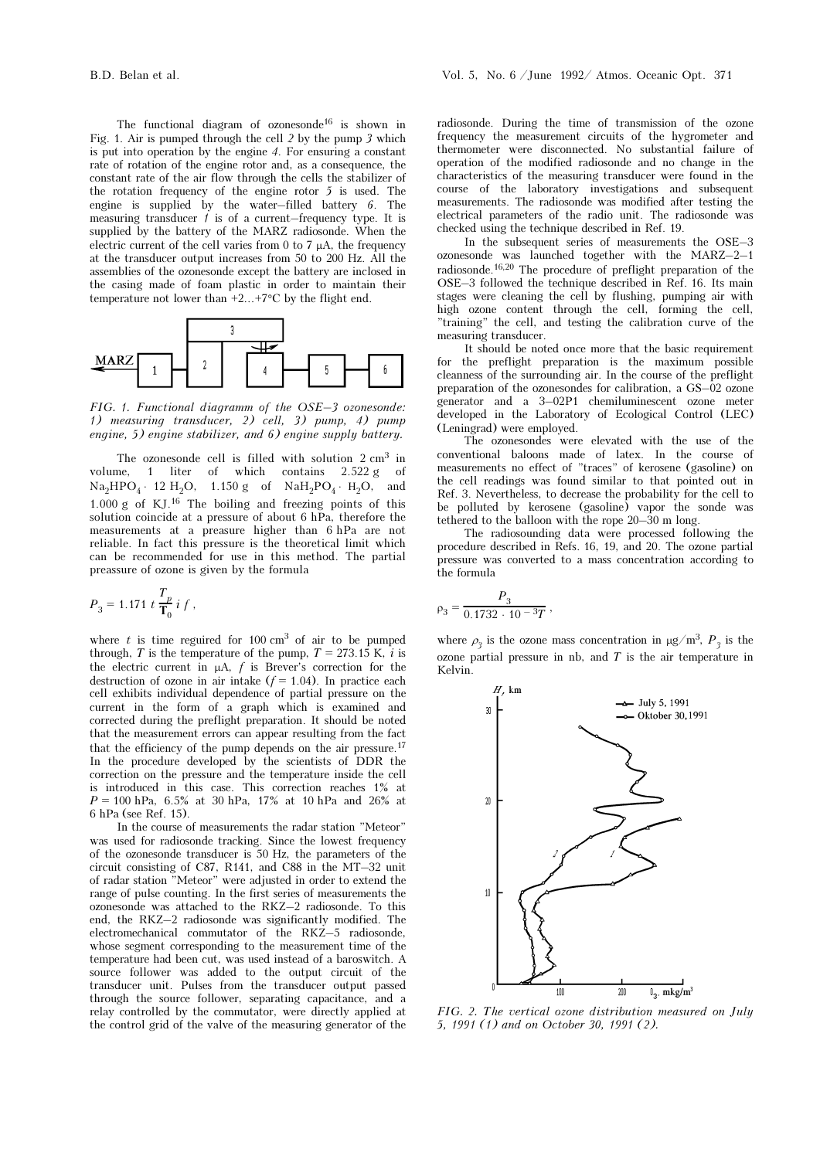The functional diagram of ozonesonde<sup>16</sup> is shown in Fig. 1. Air is pumped through the cell 2 by the pump 3 which is put into operation by the engine 4. For ensuring a constant rate of rotation of the engine rotor and, as a consequence, the constant rate of the air flow through the cells the stabilizer of the rotation frequency of the engine rotor 5 is used. The engine is supplied by the water–filled battery 6. The measuring transducer  $1$  is of a current–frequency type. It is supplied by the battery of the MARZ radiosonde. When the electric current of the cell varies from 0 to 7  $\mu$ A, the frequency at the transducer output increases from 50 to 200 Hz. All the assemblies of the ozonesonde except the battery are inclosed in the casing made of foam plastic in order to maintain their temperature not lower than  $+2...+7$ °C by the flight end.



FIG. 1. Functional diagramm of the OSE–3 ozonesonde: 1) measuring transducer, 2) cell, 3) pump, 4) pump engine, 5) engine stabilizer, and 6) engine supply battery.

The ozonesonde cell is filled with solution  $2 \text{ cm}^3$  in volume, 1 liter of which contains 2.522 g of  $Na<sub>2</sub>HPO<sub>4</sub>$  ⋅ 12 H<sub>2</sub>O, 1.150 g of NaH<sub>2</sub>PO<sub>4</sub> ⋅ H<sub>2</sub>O, and 1.000 g of KJ.16 The boiling and freezing points of this solution coincide at a pressure of about 6 hPa, therefore the measurements at a preasure higher than 6 hPa are not reliable. In fact this pressure is the theoretical limit which can be recommended for use in this method. The partial preassure of ozone is given by the formula

$$
P_3 = 1.171 \ t \frac{T_p}{\mathbf{T}_0} \ i \ f \ ,
$$

where  $t$  is time reguired for 100 cm<sup>3</sup> of air to be pumped through, T is the temperature of the pump,  $T = 273.15$  K, i is the electric current in  $\mu A$ ,  $f$  is Brever's correction for the destruction of ozone in air intake  $(f = 1.04)$ . In practice each cell exhibits individual dependence of partial pressure on the current in the form of a graph which is examined and corrected during the preflight preparation. It should be noted that the measurement errors can appear resulting from the fact that the efficiency of the pump depends on the air pressure.<sup>17</sup> In the procedure developed by the scientists of DDR the correction on the pressure and the temperature inside the cell is introduced in this case. This correction reaches 1% at  $P = 100$  hPa, 6.5% at 30 hPa, 17% at 10 hPa and 26% at 6 hPa (see Ref. 15).

In the course of measurements the radar station "Meteor" was used for radiosonde tracking. Since the lowest frequency of the ozonesonde transducer is 50 Hz, the parameters of the circuit consisting of C87, R141, and C88 in the MT–32 unit of radar station "Meteor" were adjusted in order to extend the range of pulse counting. In the first series of measurements the ozonesonde was attached to the RKZ–2 radiosonde. To this end, the RKZ–2 radiosonde was significantly modified. The electromechanical commutator of the RKZ–5 radiosonde, whose segment corresponding to the measurement time of the temperature had been cut, was used instead of a baroswitch. A source follower was added to the output circuit of the transducer unit. Pulses from the transducer output passed through the source follower, separating capacitance, and a relay controlled by the commutator, were directly applied at the control grid of the valve of the measuring generator of the radiosonde. During the time of transmission of the ozone frequency the measurement circuits of the hygrometer and thermometer were disconnected. No substantial failure of operation of the modified radiosonde and no change in the characteristics of the measuring transducer were found in the course of the laboratory investigations and subsequent measurements. The radiosonde was modified after testing the electrical parameters of the radio unit. The radiosonde was checked using the technique described in Ref. 19.

In the subsequent series of measurements the OSE–3 ozonesonde was launched together with the MARZ–2–1 radiosonde.16,20 The procedure of preflight preparation of the OSE–3 followed the technique described in Ref. 16. Its main stages were cleaning the cell by flushing, pumping air with high ozone content through the cell, forming the cell, "training" the cell, and testing the calibration curve of the measuring transducer.

It should be noted once more that the basic requirement for the preflight preparation is the maximum possible cleanness of the surrounding air. In the course of the preflight preparation of the ozonesondes for calibration, a GS–02 ozone generator and a 3–02P1 chemiluminescent ozone meter developed in the Laboratory of Ecological Control (LEC) (Leningrad) were employed.

The ozonesondes were elevated with the use of the conventional baloons made of latex. In the course of measurements no effect of "traces" of kerosene (gasoline) on the cell readings was found similar to that pointed out in Ref. 3. Nevertheless, to decrease the probability for the cell to be polluted by kerosene (gasoline) vapor the sonde was tethered to the balloon with the rope 20–30 m long.

The radiosounding data were processed following the procedure described in Refs. 16, 19, and 20. The ozone partial pressure was converted to a mass concentration according to the formula

$$
\rho_3 = \frac{P_3}{0.1732 \cdot 10^{-3} T} \,,
$$

where  $\rho_3$  is the ozone mass concentration in  $\mu$ g/m<sup>3</sup>, P<sub>3</sub> is the ozone partial pressure in nb, and  $T$  is the air temperature in Kelvin.



FIG. 2. The vertical ozone distribution measured on July 5, 1991 (1) and on October 30, 1991 (2).